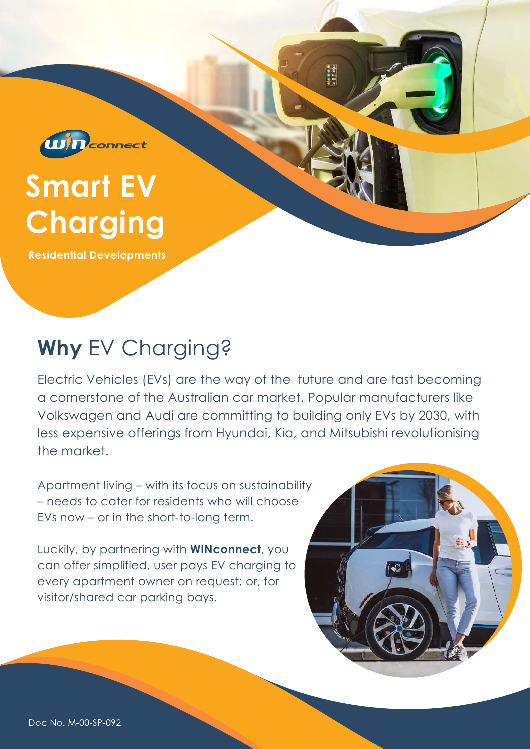

# Smart EV **Charging**

Residential Developments

# Why EV Charging?

Electric Vehicles (EVs) are the way of the future and are fast becoming a cornerstone of the Australian car market. Popular manufacturers like Volkswagen and Audi are committing to building only EVs by 2030, with less expensive offerings from Hyundai, Kia, and Mitsubishi revolutionising the market.

Apartment living – with its focus on sustainability – needs to cater for residents who will choose EVs now – or in the short-to-long term.

Luckily, by partnering with WINconnect, you can offer simplified, user pays EV charging to every apartment owner on request; or, for visitor/shared car parking bays.



Doc No. M-00-SP-092